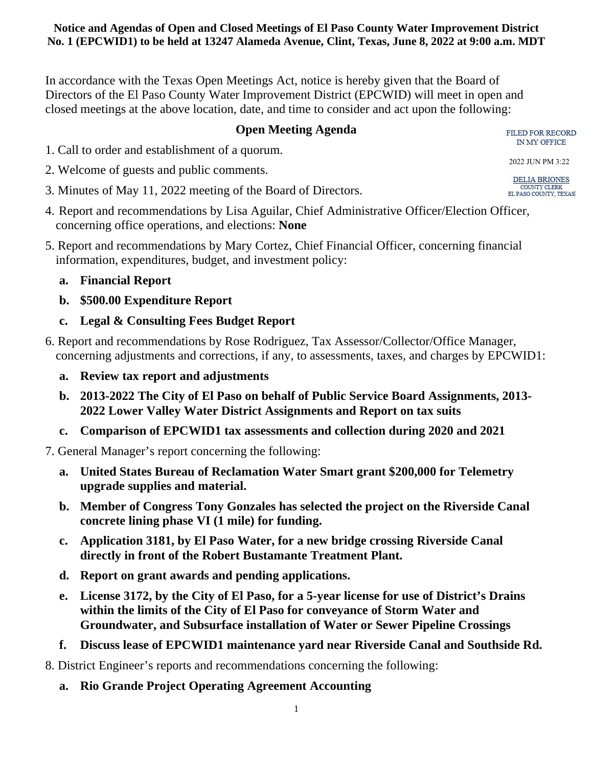In accordance with the Texas Open Meetings Act, notice is hereby given that the Board of Directors of the El Paso County Water Improvement District (EPCWID) will meet in open and closed meetings at the above location, date, and time to consider and act upon the following:

### **Open Meeting Agenda**

FILED FOR RECORD IN MY OFFICE

- 1. Call to order and establishment of a quorum.
- 2. Welcome of guests and public comments.
- 3. Minutes of May 11, 2022 meeting of the Board of Directors.
- 4. Report and recommendations by Lisa Aguilar, Chief Administrative Officer/Election Officer, concerning office operations, and elections: **None**
- 5. Report and recommendations by Mary Cortez, Chief Financial Officer, concerning financial information, expenditures, budget, and investment policy:
	- **a. Financial Report**
	- **b. \$500.00 Expenditure Report**
	- **c. Legal & Consulting Fees Budget Report**
- 6. Report and recommendations by Rose Rodriguez, Tax Assessor/Collector/Office Manager, concerning adjustments and corrections, if any, to assessments, taxes, and charges by EPCWID1:
	- **a. Review tax report and adjustments**
	- **b. 2013-2022 The City of El Paso on behalf of Public Service Board Assignments, 2013- 2022 Lower Valley Water District Assignments and Report on tax suits**
	- **c. Comparison of EPCWID1 tax assessments and collection during 2020 and 2021**
- 7. General Manager's report concerning the following:
	- **a. United States Bureau of Reclamation Water Smart grant \$200,000 for Telemetry upgrade supplies and material.**
	- **b. Member of Congress Tony Gonzales has selected the project on the Riverside Canal concrete lining phase VI (1 mile) for funding.**
	- **c. Application 3181, by El Paso Water, for a new bridge crossing Riverside Canal directly in front of the Robert Bustamante Treatment Plant.**
	- **d. Report on grant awards and pending applications.**
	- **e. License 3172, by the City of El Paso, for a 5-year license for use of District's Drains within the limits of the City of El Paso for conveyance of Storm Water and Groundwater, and Subsurface installation of Water or Sewer Pipeline Crossings**
	- **f. Discuss lease of EPCWID1 maintenance yard near Riverside Canal and Southside Rd.**
- 8. District Engineer's reports and recommendations concerning the following:
	- **a. Rio Grande Project Operating Agreement Accounting**

2022 JUN PM 3:22**DELIA BRIONES** COUNTY CLERK EL PASO COUNTY, TEXAS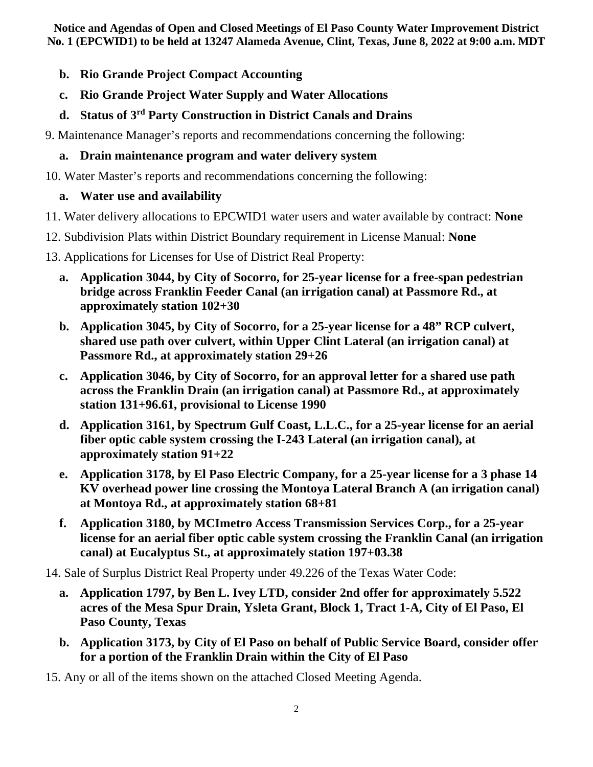- **b. Rio Grande Project Compact Accounting**
- **c. Rio Grande Project Water Supply and Water Allocations**
- **d. Status of 3rd Party Construction in District Canals and Drains**
- 9. Maintenance Manager's reports and recommendations concerning the following:

# **a. Drain maintenance program and water delivery system**

10. Water Master's reports and recommendations concerning the following:

# **a. Water use and availability**

- 11. Water delivery allocations to EPCWID1 water users and water available by contract: **None**
- 12. Subdivision Plats within District Boundary requirement in License Manual: **None**
- 13. Applications for Licenses for Use of District Real Property:
	- **a. Application 3044, by City of Socorro, for 25-year license for a free-span pedestrian bridge across Franklin Feeder Canal (an irrigation canal) at Passmore Rd., at approximately station 102+30**
	- **b. Application 3045, by City of Socorro, for a 25-year license for a 48" RCP culvert, shared use path over culvert, within Upper Clint Lateral (an irrigation canal) at Passmore Rd., at approximately station 29+26**
	- **c. Application 3046, by City of Socorro, for an approval letter for a shared use path across the Franklin Drain (an irrigation canal) at Passmore Rd., at approximately station 131+96.61, provisional to License 1990**
	- **d. Application 3161, by Spectrum Gulf Coast, L.L.C., for a 25-year license for an aerial fiber optic cable system crossing the I-243 Lateral (an irrigation canal), at approximately station 91+22**
	- **e. Application 3178, by El Paso Electric Company, for a 25-year license for a 3 phase 14 KV overhead power line crossing the Montoya Lateral Branch A (an irrigation canal) at Montoya Rd., at approximately station 68+81**
	- **f. Application 3180, by MCImetro Access Transmission Services Corp., for a 25-year license for an aerial fiber optic cable system crossing the Franklin Canal (an irrigation canal) at Eucalyptus St., at approximately station 197+03.38**

14. Sale of Surplus District Real Property under 49.226 of the Texas Water Code:

- **a. Application 1797, by Ben L. Ivey LTD, consider 2nd offer for approximately 5.522 acres of the Mesa Spur Drain, Ysleta Grant, Block 1, Tract 1-A, City of El Paso, El Paso County, Texas**
- **b. Application 3173, by City of El Paso on behalf of Public Service Board, consider offer for a portion of the Franklin Drain within the City of El Paso**
- 15. Any or all of the items shown on the attached Closed Meeting Agenda.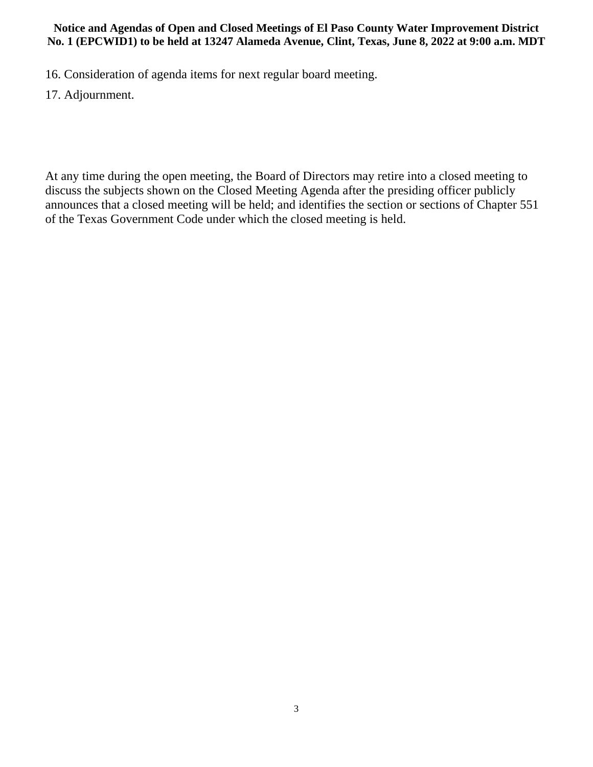16. Consideration of agenda items for next regular board meeting.

17. Adjournment.

At any time during the open meeting, the Board of Directors may retire into a closed meeting to discuss the subjects shown on the Closed Meeting Agenda after the presiding officer publicly announces that a closed meeting will be held; and identifies the section or sections of Chapter 551 of the Texas Government Code under which the closed meeting is held.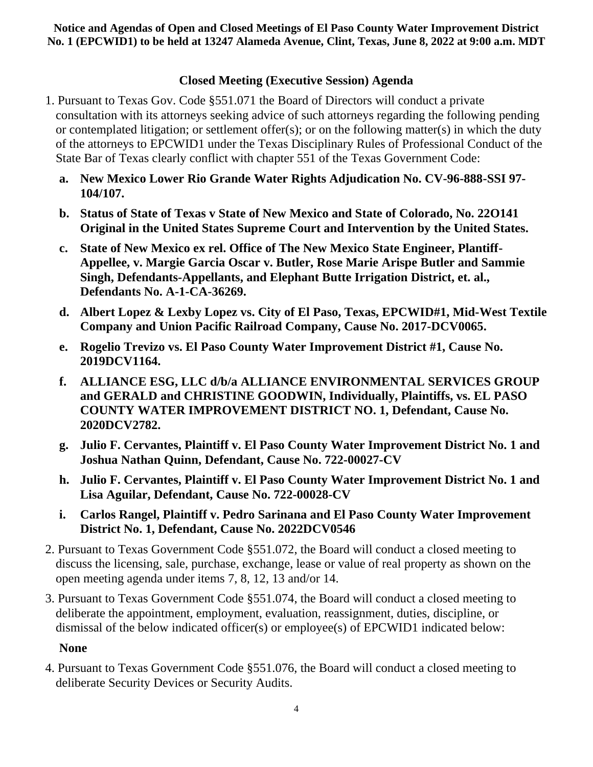## **Closed Meeting (Executive Session) Agenda**

- 1. Pursuant to Texas Gov. Code §551.071 the Board of Directors will conduct a private consultation with its attorneys seeking advice of such attorneys regarding the following pending or contemplated litigation; or settlement offer(s); or on the following matter(s) in which the duty of the attorneys to EPCWID1 under the Texas Disciplinary Rules of Professional Conduct of the State Bar of Texas clearly conflict with chapter 551 of the Texas Government Code:
	- **a. New Mexico Lower Rio Grande Water Rights Adjudication No. CV-96-888-SSI 97- 104/107.**
	- **b. Status of State of Texas v State of New Mexico and State of Colorado, No. 22O141 Original in the United States Supreme Court and Intervention by the United States.**
	- **c. State of New Mexico ex rel. Office of The New Mexico State Engineer, Plantiff-Appellee, v. Margie Garcia Oscar v. Butler, Rose Marie Arispe Butler and Sammie Singh, Defendants-Appellants, and Elephant Butte Irrigation District, et. al., Defendants No. A-1-CA-36269.**
	- **d. Albert Lopez & Lexby Lopez vs. City of El Paso, Texas, EPCWID#1, Mid-West Textile Company and Union Pacific Railroad Company, Cause No. 2017-DCV0065.**
	- **e. Rogelio Trevizo vs. El Paso County Water Improvement District #1, Cause No. 2019DCV1164.**
	- **f. ALLIANCE ESG, LLC d/b/a ALLIANCE ENVIRONMENTAL SERVICES GROUP and GERALD and CHRISTINE GOODWIN, Individually, Plaintiffs, vs. EL PASO COUNTY WATER IMPROVEMENT DISTRICT NO. 1, Defendant, Cause No. 2020DCV2782.**
	- **g. Julio F. Cervantes, Plaintiff v. El Paso County Water Improvement District No. 1 and Joshua Nathan Quinn, Defendant, Cause No. 722-00027-CV**
	- **h. Julio F. Cervantes, Plaintiff v. El Paso County Water Improvement District No. 1 and Lisa Aguilar, Defendant, Cause No. 722-00028-CV**
	- **i. Carlos Rangel, Plaintiff v. Pedro Sarinana and El Paso County Water Improvement District No. 1, Defendant, Cause No. 2022DCV0546**
- 2. Pursuant to Texas Government Code §551.072, the Board will conduct a closed meeting to discuss the licensing, sale, purchase, exchange, lease or value of real property as shown on the open meeting agenda under items 7, 8, 12, 13 and/or 14.
- 3. Pursuant to Texas Government Code §551.074, the Board will conduct a closed meeting to deliberate the appointment, employment, evaluation, reassignment, duties, discipline, or dismissal of the below indicated officer(s) or employee(s) of EPCWID1 indicated below:

### **None**

4. Pursuant to Texas Government Code §551.076, the Board will conduct a closed meeting to deliberate Security Devices or Security Audits.